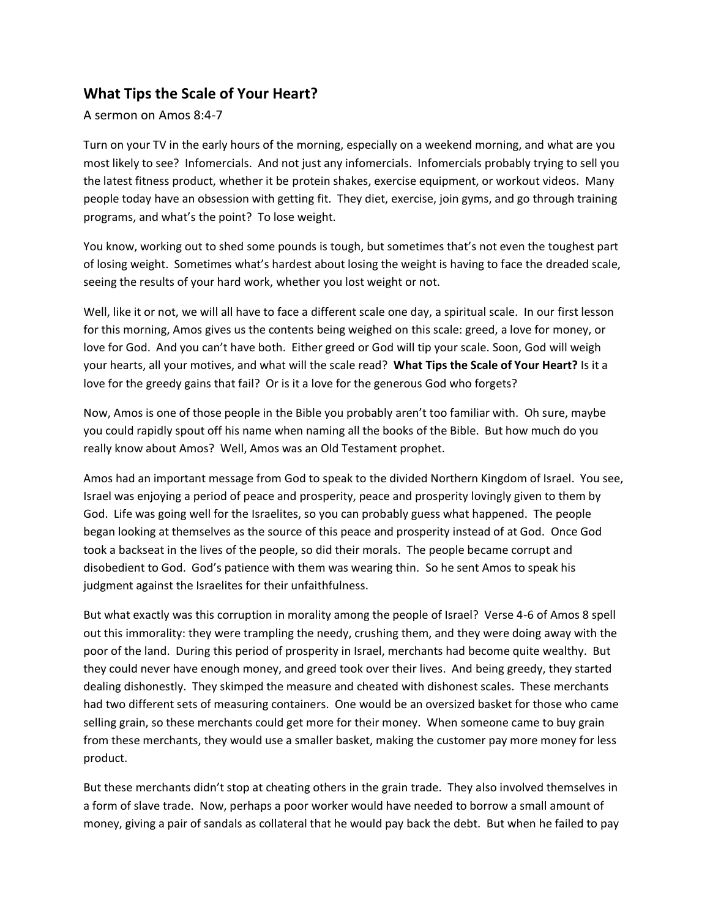## **What Tips the Scale of Your Heart?**

A sermon on Amos 8:4-7

Turn on your TV in the early hours of the morning, especially on a weekend morning, and what are you most likely to see? Infomercials. And not just any infomercials. Infomercials probably trying to sell you the latest fitness product, whether it be protein shakes, exercise equipment, or workout videos. Many people today have an obsession with getting fit. They diet, exercise, join gyms, and go through training programs, and what's the point? To lose weight.

You know, working out to shed some pounds is tough, but sometimes that's not even the toughest part of losing weight. Sometimes what's hardest about losing the weight is having to face the dreaded scale, seeing the results of your hard work, whether you lost weight or not.

Well, like it or not, we will all have to face a different scale one day, a spiritual scale. In our first lesson for this morning, Amos gives us the contents being weighed on this scale: greed, a love for money, or love for God. And you can't have both. Either greed or God will tip your scale. Soon, God will weigh your hearts, all your motives, and what will the scale read? **What Tips the Scale of Your Heart?** Is it a love for the greedy gains that fail? Or is it a love for the generous God who forgets?

Now, Amos is one of those people in the Bible you probably aren't too familiar with. Oh sure, maybe you could rapidly spout off his name when naming all the books of the Bible. But how much do you really know about Amos? Well, Amos was an Old Testament prophet.

Amos had an important message from God to speak to the divided Northern Kingdom of Israel. You see, Israel was enjoying a period of peace and prosperity, peace and prosperity lovingly given to them by God. Life was going well for the Israelites, so you can probably guess what happened. The people began looking at themselves as the source of this peace and prosperity instead of at God. Once God took a backseat in the lives of the people, so did their morals. The people became corrupt and disobedient to God. God's patience with them was wearing thin. So he sent Amos to speak his judgment against the Israelites for their unfaithfulness.

But what exactly was this corruption in morality among the people of Israel? Verse 4-6 of Amos 8 spell out this immorality: they were trampling the needy, crushing them, and they were doing away with the poor of the land. During this period of prosperity in Israel, merchants had become quite wealthy. But they could never have enough money, and greed took over their lives. And being greedy, they started dealing dishonestly. They skimped the measure and cheated with dishonest scales. These merchants had two different sets of measuring containers. One would be an oversized basket for those who came selling grain, so these merchants could get more for their money. When someone came to buy grain from these merchants, they would use a smaller basket, making the customer pay more money for less product.

But these merchants didn't stop at cheating others in the grain trade. They also involved themselves in a form of slave trade. Now, perhaps a poor worker would have needed to borrow a small amount of money, giving a pair of sandals as collateral that he would pay back the debt. But when he failed to pay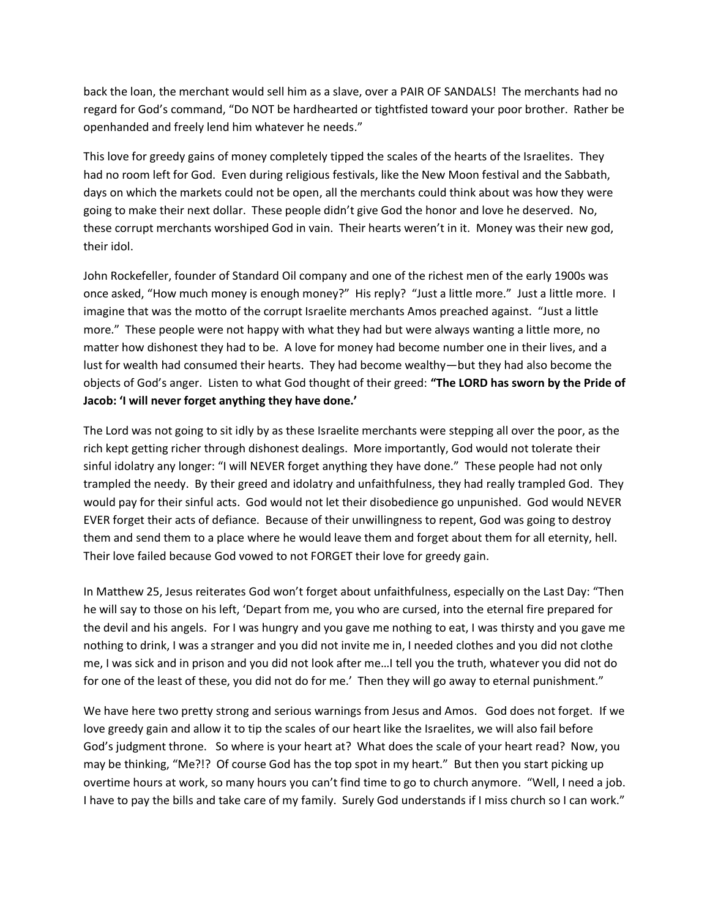back the loan, the merchant would sell him as a slave, over a PAIR OF SANDALS! The merchants had no regard for God's command, "Do NOT be hardhearted or tightfisted toward your poor brother. Rather be openhanded and freely lend him whatever he needs."

This love for greedy gains of money completely tipped the scales of the hearts of the Israelites. They had no room left for God. Even during religious festivals, like the New Moon festival and the Sabbath, days on which the markets could not be open, all the merchants could think about was how they were going to make their next dollar. These people didn't give God the honor and love he deserved. No, these corrupt merchants worshiped God in vain. Their hearts weren't in it. Money was their new god, their idol.

John Rockefeller, founder of Standard Oil company and one of the richest men of the early 1900s was once asked, "How much money is enough money?" His reply? "Just a little more." Just a little more. I imagine that was the motto of the corrupt Israelite merchants Amos preached against. "Just a little more." These people were not happy with what they had but were always wanting a little more, no matter how dishonest they had to be. A love for money had become number one in their lives, and a lust for wealth had consumed their hearts. They had become wealthy—but they had also become the objects of God's anger. Listen to what God thought of their greed: **"The LORD has sworn by the Pride of Jacob: 'I will never forget anything they have done.'**

The Lord was not going to sit idly by as these Israelite merchants were stepping all over the poor, as the rich kept getting richer through dishonest dealings. More importantly, God would not tolerate their sinful idolatry any longer: "I will NEVER forget anything they have done." These people had not only trampled the needy. By their greed and idolatry and unfaithfulness, they had really trampled God. They would pay for their sinful acts. God would not let their disobedience go unpunished. God would NEVER EVER forget their acts of defiance. Because of their unwillingness to repent, God was going to destroy them and send them to a place where he would leave them and forget about them for all eternity, hell. Their love failed because God vowed to not FORGET their love for greedy gain.

In Matthew 25, Jesus reiterates God won't forget about unfaithfulness, especially on the Last Day: "Then he will say to those on his left, 'Depart from me, you who are cursed, into the eternal fire prepared for the devil and his angels. For I was hungry and you gave me nothing to eat, I was thirsty and you gave me nothing to drink, I was a stranger and you did not invite me in, I needed clothes and you did not clothe me, I was sick and in prison and you did not look after me…I tell you the truth, whatever you did not do for one of the least of these, you did not do for me.' Then they will go away to eternal punishment."

We have here two pretty strong and serious warnings from Jesus and Amos. God does not forget.If we love greedy gain and allow it to tip the scales of our heart like the Israelites, we will also fail before God's judgment throne. So where is your heart at? What does the scale of your heart read? Now, you may be thinking, "Me?!? Of course God has the top spot in my heart." But then you start picking up overtime hours at work, so many hours you can't find time to go to church anymore. "Well, I need a job. I have to pay the bills and take care of my family. Surely God understands if I miss church so I can work."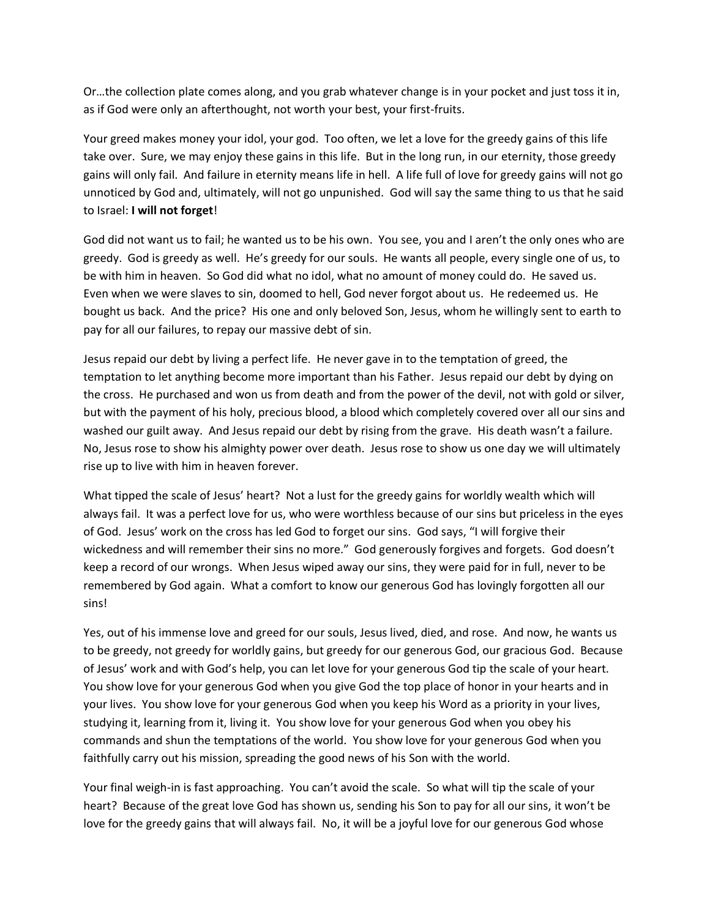Or…the collection plate comes along, and you grab whatever change is in your pocket and just toss it in, as if God were only an afterthought, not worth your best, your first-fruits.

Your greed makes money your idol, your god. Too often, we let a love for the greedy gains of this life take over. Sure, we may enjoy these gains in this life. But in the long run, in our eternity, those greedy gains will only fail. And failure in eternity means life in hell. A life full of love for greedy gains will not go unnoticed by God and, ultimately, will not go unpunished. God will say the same thing to us that he said to Israel: **I will not forget**!

God did not want us to fail; he wanted us to be his own. You see, you and I aren't the only ones who are greedy. God is greedy as well. He's greedy for our souls. He wants all people, every single one of us, to be with him in heaven. So God did what no idol, what no amount of money could do. He saved us. Even when we were slaves to sin, doomed to hell, God never forgot about us. He redeemed us. He bought us back. And the price? His one and only beloved Son, Jesus, whom he willingly sent to earth to pay for all our failures, to repay our massive debt of sin.

Jesus repaid our debt by living a perfect life. He never gave in to the temptation of greed, the temptation to let anything become more important than his Father. Jesus repaid our debt by dying on the cross. He purchased and won us from death and from the power of the devil, not with gold or silver, but with the payment of his holy, precious blood, a blood which completely covered over all our sins and washed our guilt away. And Jesus repaid our debt by rising from the grave. His death wasn't a failure. No, Jesus rose to show his almighty power over death. Jesus rose to show us one day we will ultimately rise up to live with him in heaven forever.

What tipped the scale of Jesus' heart? Not a lust for the greedy gains for worldly wealth which will always fail. It was a perfect love for us, who were worthless because of our sins but priceless in the eyes of God. Jesus' work on the cross has led God to forget our sins. God says, "I will forgive their wickedness and will remember their sins no more." God generously forgives and forgets. God doesn't keep a record of our wrongs. When Jesus wiped away our sins, they were paid for in full, never to be remembered by God again. What a comfort to know our generous God has lovingly forgotten all our sins!

Yes, out of his immense love and greed for our souls, Jesus lived, died, and rose. And now, he wants us to be greedy, not greedy for worldly gains, but greedy for our generous God, our gracious God. Because of Jesus' work and with God's help, you can let love for your generous God tip the scale of your heart. You show love for your generous God when you give God the top place of honor in your hearts and in your lives. You show love for your generous God when you keep his Word as a priority in your lives, studying it, learning from it, living it. You show love for your generous God when you obey his commands and shun the temptations of the world. You show love for your generous God when you faithfully carry out his mission, spreading the good news of his Son with the world.

Your final weigh-in is fast approaching. You can't avoid the scale. So what will tip the scale of your heart? Because of the great love God has shown us, sending his Son to pay for all our sins, it won't be love for the greedy gains that will always fail. No, it will be a joyful love for our generous God whose